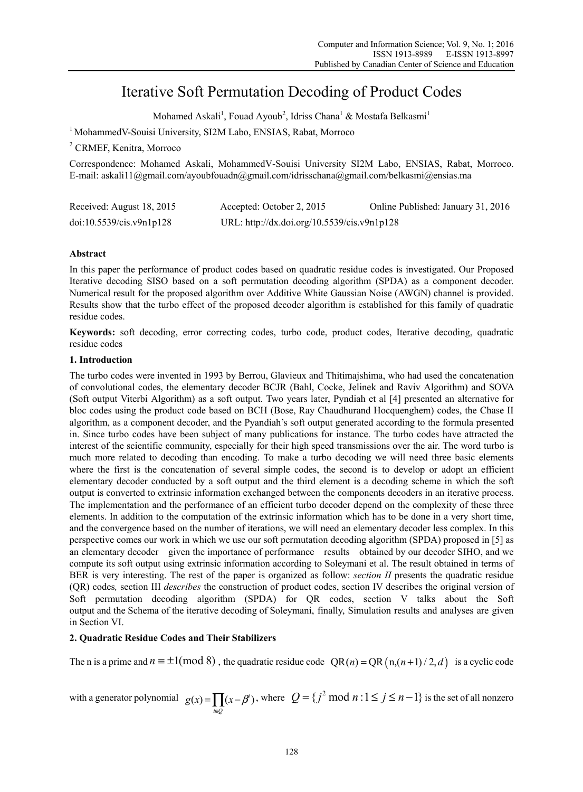# Iterative Soft Permutation Decoding of Product Codes

Mohamed Askali<sup>1</sup>, Fouad Ayoub<sup>2</sup>, Idriss Chana<sup>1</sup> & Mostafa Belkasmi<sup>1</sup>

<sup>1</sup> MohammedV-Souisi University, SI2M Labo, ENSIAS, Rabat, Morroco

2 CRMEF, Kenitra, Morroco

Correspondence: Mohamed Askali, MohammedV-Souisi University SI2M Labo, ENSIAS, Rabat, Morroco. E-mail: askali11@gmail.com/ayoubfouadn@gmail.com/idrisschana@gmail.com/belkasmi@ensias.ma

| Received: August 18, 2015 | Accepted: October 2, 2015                   | Online Published: January 31, 2016 |
|---------------------------|---------------------------------------------|------------------------------------|
| doi:10.5539/cis.v9n1p128  | URL: http://dx.doi.org/10.5539/cis.v9n1p128 |                                    |

## **Abstract**

In this paper the performance of product codes based on quadratic residue codes is investigated. Our Proposed Iterative decoding SISO based on a soft permutation decoding algorithm (SPDA) as a component decoder. Numerical result for the proposed algorithm over Additive White Gaussian Noise (AWGN) channel is provided. Results show that the turbo effect of the proposed decoder algorithm is established for this family of quadratic residue codes.

**Keywords:** soft decoding, error correcting codes, turbo code, product codes, Iterative decoding, quadratic residue codes

## **1. Introduction**

The turbo codes were invented in 1993 by Berrou, Glavieux and Thitimajshima, who had used the concatenation of convolutional codes, the elementary decoder BCJR (Bahl, Cocke, Jelinek and Raviv Algorithm) and SOVA (Soft output Viterbi Algorithm) as a soft output. Two years later, Pyndiah et al [4] presented an alternative for bloc codes using the product code based on BCH (Bose, Ray Chaudhurand Hocquenghem) codes, the Chase II algorithm, as a component decoder, and the Pyandiah's soft output generated according to the formula presented in. Since turbo codes have been subject of many publications for instance. The turbo codes have attracted the interest of the scientific community, especially for their high speed transmissions over the air. The word turbo is much more related to decoding than encoding. To make a turbo decoding we will need three basic elements where the first is the concatenation of several simple codes, the second is to develop or adopt an efficient elementary decoder conducted by a soft output and the third element is a decoding scheme in which the soft output is converted to extrinsic information exchanged between the components decoders in an iterative process. The implementation and the performance of an efficient turbo decoder depend on the complexity of these three elements. In addition to the computation of the extrinsic information which has to be done in a very short time, and the convergence based on the number of iterations, we will need an elementary decoder less complex. In this perspective comes our work in which we use our soft permutation decoding algorithm (SPDA) proposed in [5] as an elementary decoder given the importance of performance results obtained by our decoder SIHO, and we compute its soft output using extrinsic information according to Soleymani et al. The result obtained in terms of BER is very interesting. The rest of the paper is organized as follow: *section II* presents the quadratic residue (QR) codes*,* section III *describes* the construction of product codes, section IV describes the original version of Soft permutation decoding algorithm (SPDA) for QR codes, section V talks about the Soft output and the Schema of the iterative decoding of Soleymani, finally, Simulation results and analyses are given in Section VI.

# **2. Quadratic Residue Codes and Their Stabilizers**

The n is a prime and  $n \equiv \pm 1 \pmod{8}$ , the quadratic residue code  $QR(n) = QR(n,(n+1) / 2, d)$  is a cyclic code

with a generator polynomial  $g(x) = \prod (x - \beta^i)$ , where  $Q = \{j^2 \text{ mod } n : 1 \le j \le n - 1\}$  is the set of all nonzero *i*∈0  $g(x) = \prod (x - \beta^i)$  $=\prod_{i\in Q}(x-\beta^i)$ , where  $Q = \{j^2 \text{ mod } n : 1 \le j \le n-1\}$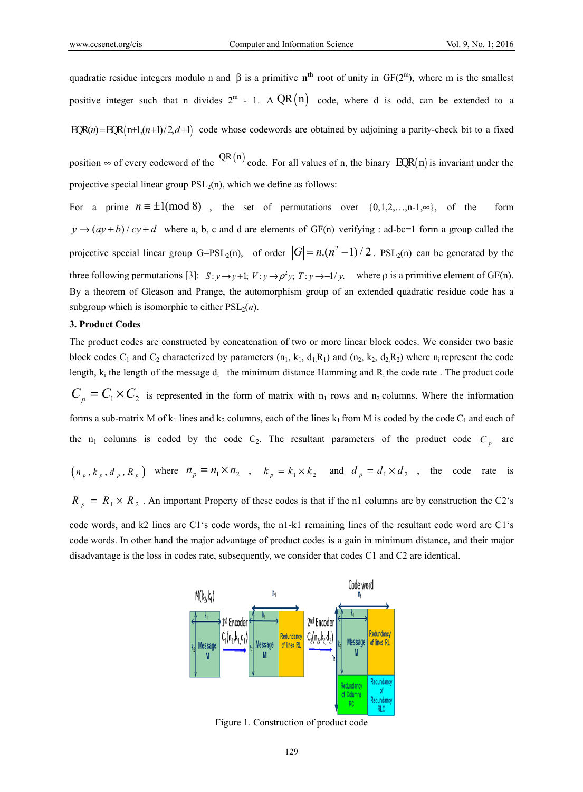quadratic residue integers modulo n and β is a primitive **nth** root of unity in GF(2m), where m is the smallest positive integer such that n divides  $2^m$  - 1. A QR(n) code, where d is odd, can be extended to a  $EQR(n) = EQR(n+1,(n+1)/2,d+1)$  code whose codewords are obtained by adjoining a parity-check bit to a fixed

position  $\infty$  of every codeword of the  $\frac{QR(n)}{code}$  code. For all values of n, the binary  $EQR(n)$  is invariant under the projective special linear group  $PSL<sub>2</sub>(n)$ , which we define as follows:

For a prime  $n \equiv \pm 1 \pmod{8}$ , the set of permutations over  $\{0,1,2,...,n-1,\infty\}$ , of the form  $y \rightarrow (ay+b)/cy+d$  where a, b, c and d are elements of GF(n) verifying : ad-bc=1 form a group called the projective special linear group  $G=PSL_2(n)$ , of order  $|G|=n(n^2-1)/2$ .  $PSL_2(n)$  can be generated by the three following permutations [3]:  $S: y \rightarrow y+1$ ;  $V: y \rightarrow \rho^2 y$ ;  $T: y \rightarrow -1/y$ . where  $\rho$  is a primitive element of GF(n). By a theorem of Gleason and Prange, the automorphism group of an extended quadratic residue code has a subgroup which is isomorphic to either  $PSL<sub>2</sub>(n)$ .

#### **3. Product Codes**

The product codes are constructed by concatenation of two or more linear block codes. We consider two basic block codes C<sub>1</sub> and C<sub>2</sub> characterized by parameters  $(n_1, k_1, d_1, R_1)$  and  $(n_2, k_2, d_2, R_2)$  where n<sub>i</sub> represent the code length,  $k_i$  the length of the message  $d_i$  the minimum distance Hamming and  $R_i$  the code rate. The product code  $C_p = C_1 \times C_2$  is represented in the form of matrix with  $n_1$  rows and  $n_2$  columns. Where the information forms a sub-matrix M of  $k_1$  lines and  $k_2$  columns, each of the lines  $k_1$  from M is coded by the code  $C_1$  and each of the  $n_1$  columns is coded by the code  $C_2$ . The resultant parameters of the product code  $C_p$  are

 $(n_p, k_p, d_p, R_p)$  where  $n_p = n_1 \times n_2$ ,  $k_p = k_1 \times k_2$  and  $d_p = d_1 \times d_2$ , the code rate is

 $R_p = R_1 \times R_2$ . An important Property of these codes is that if the n1 columns are by construction the C2's

code words, and k2 lines are C1's code words, the n1-k1 remaining lines of the resultant code word are C1's code words. In other hand the major advantage of product codes is a gain in minimum distance, and their major disadvantage is the loss in codes rate, subsequently, we consider that codes C1 and C2 are identical.



Figure 1. Construction of product code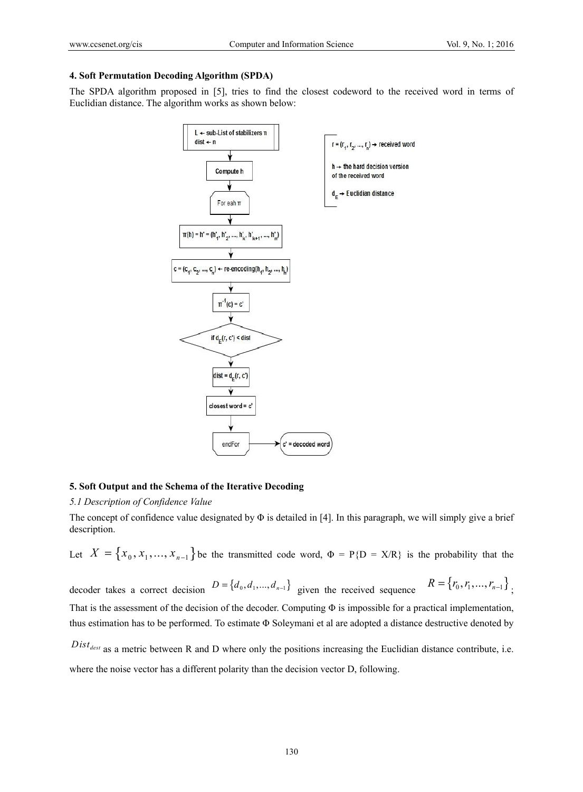#### **4. Soft Permutation Decoding Algorithm (SPDA)**

The SPDA algorithm proposed in [5], tries to find the closest codeword to the received word in terms of Euclidian distance. The algorithm works as shown below:



#### **5. Soft Output and the Schema of the Iterative Decoding**

## *5.1 Description of Confidence Value*

The concept of confidence value designated by  $\Phi$  is detailed in [4]. In this paragraph, we will simply give a brief description.

Let  $X = \{x_0, x_1, \ldots, x_{n-1}\}$  be the transmitted code word,  $\Phi = P\{D = X/R\}$  is the probability that the

decoder takes a correct decision  $D = \{d_0, d_1, ..., d_{n-1}\}$  given the received sequence  $R = \{r_0, r_1, ..., r_{n-1}\}$ .

That is the assessment of the decision of the decoder. Computing  $\Phi$  is impossible for a practical implementation, thus estimation has to be performed. To estimate Φ Soleymani et al are adopted a distance destructive denoted by

 $Dist_{dest}$  as a metric between R and D where only the positions increasing the Euclidian distance contribute, i.e. where the noise vector has a different polarity than the decision vector D, following.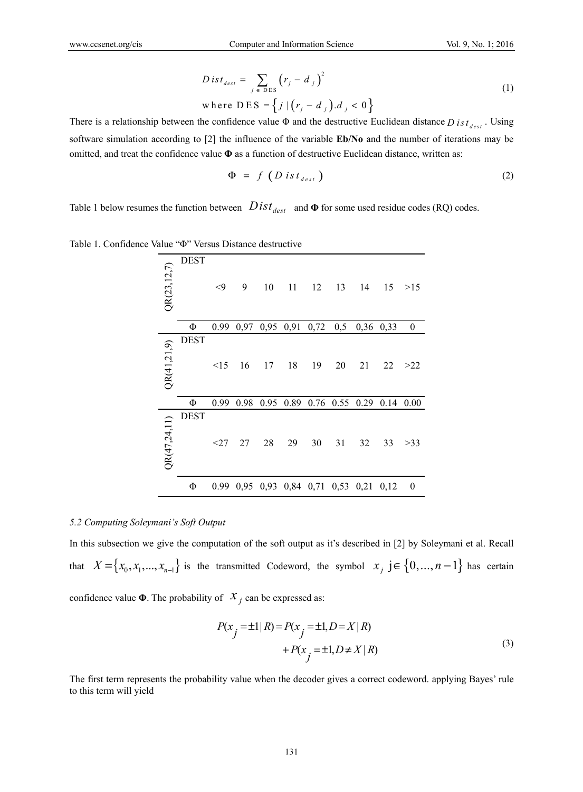$$
Dist_{dest} = \sum_{j \in \text{DES}} (r_j - d_j)^2
$$
  
where 
$$
DES = \{ j | (r_j - d_j) . d_j < 0 \}
$$
 (1)

There is a relationship between the confidence value  $\Phi$  and the destructive Euclidean distance  $D$  is  $t_{dest}$ . Using software simulation according to [2] the influence of the variable **Eb/No** and the number of iterations may be omitted, and treat the confidence value **Φ** as a function of destructive Euclidean distance, written as:

$$
\Phi = f\left(D\,ist_{dest}\right) \tag{2}
$$

Table 1 below resumes the function between  $Dist_{dest}$  and  $\Phi$  for some used residue codes (RQ) codes.

| Table 1. Confidence Value " $\Phi$ " Versus Distance destructive |
|------------------------------------------------------------------|
|------------------------------------------------------------------|

|                | <b>DEST</b> |           |      |             |                                   |      |                     |           |      |                  |
|----------------|-------------|-----------|------|-------------|-----------------------------------|------|---------------------|-----------|------|------------------|
| QR(23, 12, 7)  |             | $\leq$ 9  | 9    | 10          | 11                                | 12   | 13                  | 14        | 15   | >15              |
|                | Φ           | 0.99      |      |             | $0,97$ $0,95$ $0,91$ $0,72$ $0,5$ |      |                     | 0,36 0,33 |      | $\boldsymbol{0}$ |
|                | <b>DEST</b> |           |      |             |                                   |      |                     |           |      |                  |
| QR(41, 21, 9)  |             | $\leq$ 15 | 16   | 17          | 18                                | 19   | 20                  | 21        | 22   | >22              |
|                | Φ           | 0.99      | 0.98 | 0.95        | 0.89                              | 0.76 | 0.55                | 0.29      | 0.14 | 0.00             |
| QR(47, 24, 11) | <b>DEST</b> | $<$ 27    | 27   | 28          | 29                                | 30   | 31                  | 32        | 33   | >33              |
|                | Φ           | 0.99      |      | $0,95$ 0.93 |                                   |      | 0,84 0,71 0,53 0,21 |           | 0,12 | 0                |

## *5.2 Computing Soleymani's Soft Output*

In this subsection we give the computation of the soft output as it's described in [2] by Soleymani et al. Recall that  $X = \{x_0, x_1, ..., x_{n-1}\}$  is the transmitted Codeword, the symbol  $x_j$  j  $\in \{0, ..., n-1\}$  has certain

confidence value **Φ**. The probability of  $\mathcal{X}_j$  can be expressed as:

$$
P(x_j = \pm 1 | R) = P(x_j = \pm 1, D = X | R) + P(x_j = \pm 1, D \neq X | R)
$$
(3)

The first term represents the probability value when the decoder gives a correct codeword. applying Bayes' rule to this term will yield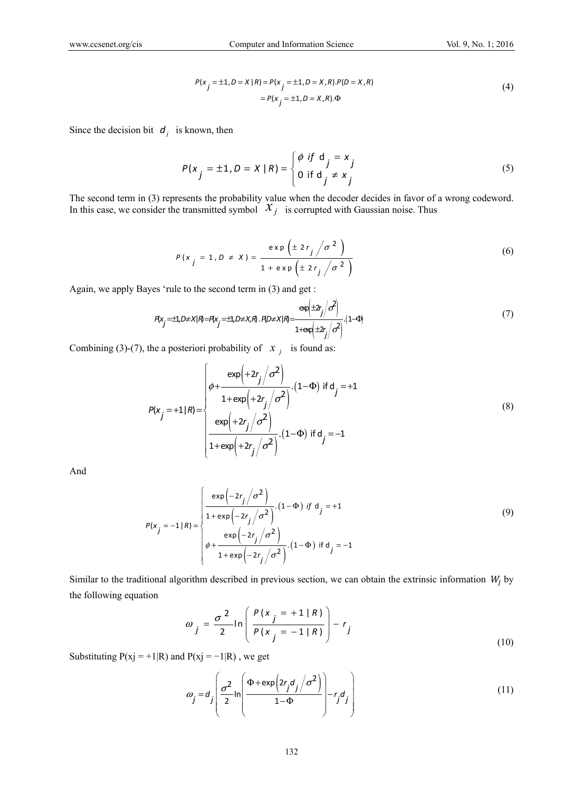$$
P(x_j = \pm 1, D = X | R) = P(x_j = \pm 1, D = X, R). P(D = X, R)
$$
  
=  $P(x_j = \pm 1, D = X, R). \Phi$  (4)

Since the decision bit  $d_j$  is known, then

$$
P(x_j = \pm 1, D = X | R) = \begin{cases} \phi & \text{if } d_j = x_j \\ 0 & \text{if } d_j \neq x_j \end{cases}
$$
 (5)

The second term in (3) represents the probability value when the decoder decides in favor of a wrong codeword. In this case, we consider the transmitted symbol  $\mathcal{X}_j$  is corrupted with Gaussian noise. Thus *In* this case, we consider the transmitted symbol  $\mathcal{X}_j$  is corrupted with Gaussian noise. Thus

$$
P(x_j = 1, D \neq X) = \frac{\exp\left(\pm 2r_j / \sigma^2\right)}{1 + \exp\left(\pm 2r_j / \sigma^2\right)}
$$
(6)

Again, we apply Bayes 'rule to the second term in (3) and get :

$$
P(x_j = \pm 1, D \neq X | R) = P(x_j = \pm 1, D \neq X, R) . P(D \neq X | R) = \frac{\exp(\pm 2r_j / \sigma^2)}{1 + \exp(\pm 2r_j / \sigma^2)} . (1 - \Phi)
$$
\n(7)

Combining (3)-(7), the a posteriori probability of  $x_j$  is found as:

$$
P(x_j = +1 | R) = \begin{cases} \frac{\exp\left(+2r_j/\sigma^2\right)}{1+\exp\left(+2r_j/\sigma^2\right)} \cdot (1-\Phi) & \text{if } d_j = +1\\ \frac{\exp\left(+2r_j/\sigma^2\right)}{1+\exp\left(+2r_j/\sigma^2\right)} \cdot (1-\Phi) & \text{if } d_j = -1 \end{cases}
$$
(8)

And

$$
P(x_j = -1 | R) = \begin{cases} \frac{\exp(-2r_j/\sigma^2)}{1 + \exp(-2r_j/\sigma^2)} \cdot (1 - \Phi) & \text{if } d_j = +1\\ \frac{\exp(-2r_j/\sigma^2)}{1 + \exp(-2r_j/\sigma^2)} \cdot (1 - \Phi) & \text{if } d_j = -1 \end{cases}
$$
(9)

Similar to the traditional algorithm described in previous section, we can obtain the extrinsic information  $W_j$  by the following equation

$$
\omega_{j} = \frac{\sigma^{2}}{2} \ln \left( \frac{P(x_{j} = +1 | R)}{P(x_{j} = -1 | R)} \right) - r_{j}
$$
\n(10)

Substituting  $P(xj = +1|R)$  and  $P(xj = -1|R)$ , we get

$$
\omega_j = d_j \left( \frac{\sigma^2}{2} \ln \left( \frac{\Phi + \exp\left(2r_j d_j / \sigma^2\right)}{1 - \Phi} \right) - r_j d_j \right) \tag{11}
$$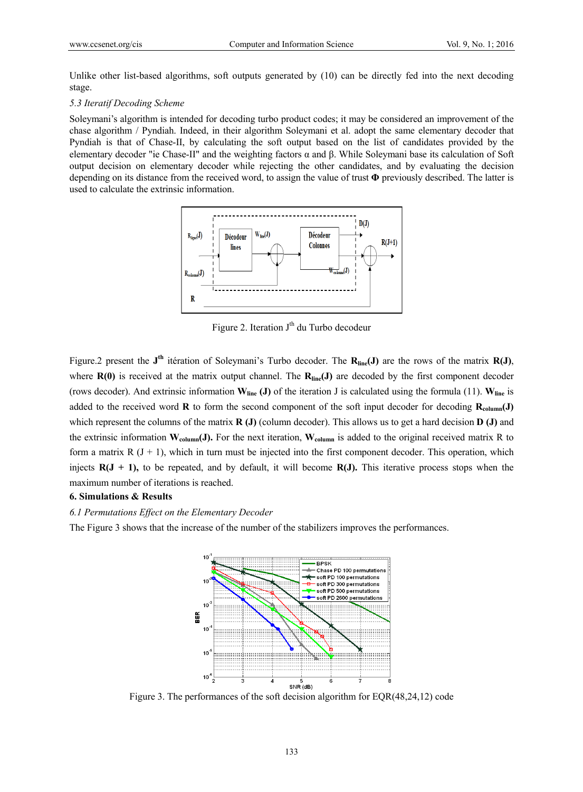Unlike other list-based algorithms, soft outputs generated by (10) can be directly fed into the next decoding stage.

#### *5.3 Iteratif Decoding Scheme*

Soleymani's algorithm is intended for decoding turbo product codes; it may be considered an improvement of the chase algorithm / Pyndiah. Indeed, in their algorithm Soleymani et al. adopt the same elementary decoder that Pyndiah is that of Chase-II, by calculating the soft output based on the list of candidates provided by the elementary decoder "ie Chase-II" and the weighting factors α and β. While Soleymani base its calculation of Soft output decision on elementary decoder while rejecting the other candidates, and by evaluating the decision depending on its distance from the received word, to assign the value of trust **Φ** previously described. The latter is used to calculate the extrinsic information.



Figure 2. Iteration  $J<sup>th</sup>$  du Turbo decodeur

Figure.2 present the **J<sup>th</sup>** itération of Soleymani's Turbo decoder. The **R**<sub>line</sub>(J) are the rows of the matrix **R**(J), where **R(0)** is received at the matrix output channel. The **R**<sub>line</sub>(J) are decoded by the first component decoder (rows decoder). And extrinsic information  $W_{line}$  (J) of the iteration J is calculated using the formula (11).  $W_{line}$  is added to the received word **R** to form the second component of the soft input decoder for decoding  $\mathbf{R}_{\text{column}}(\mathbf{J})$ which represent the columns of the matrix **R** (J) (column decoder). This allows us to get a hard decision **D** (J) and the extrinsic information  $W_{\text{column}}(J)$ . For the next iteration,  $W_{\text{column}}$  is added to the original received matrix R to form a matrix  $R (J + 1)$ , which in turn must be injected into the first component decoder. This operation, which injects  $R(J + 1)$ , to be repeated, and by default, it will become  $R(J)$ . This iterative process stops when the maximum number of iterations is reached.

#### **6. Simulations & Results**

*6.1 Permutations Effect on the Elementary Decoder* 

The Figure 3 shows that the increase of the number of the stabilizers improves the performances.



Figure 3. The performances of the soft decision algorithm for EQR(48,24,12) code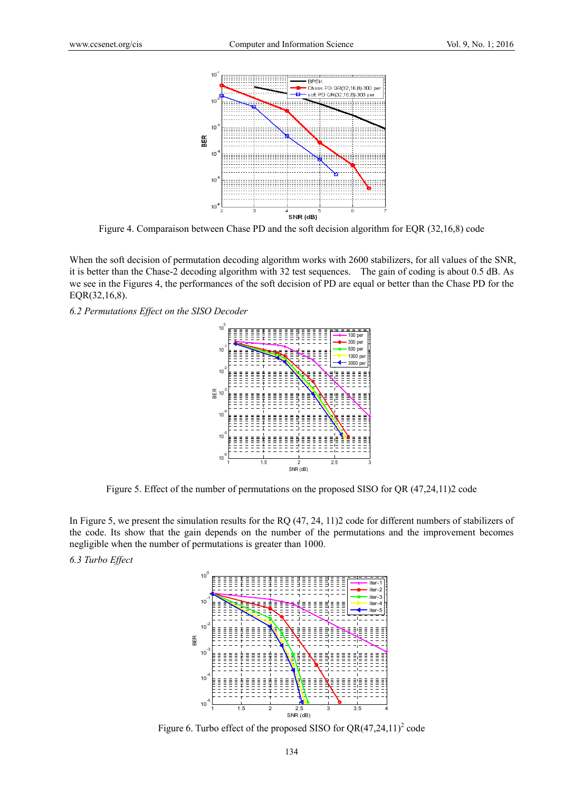

Figure 4. Comparaison between Chase PD and the soft decision algorithm for EQR (32,16,8) code

When the soft decision of permutation decoding algorithm works with 2600 stabilizers, for all values of the SNR, it is better than the Chase-2 decoding algorithm with 32 test sequences. The gain of coding is about 0.5 dB. As we see in the Figures 4, the performances of the soft decision of PD are equal or better than the Chase PD for the EQR(32,16,8).

*6.2 Permutations Effect on the SISO Decoder* 



Figure 5. Effect of the number of permutations on the proposed SISO for QR (47,24,11)2 code

In Figure 5, we present the simulation results for the RQ (47, 24, 11)2 code for different numbers of stabilizers of the code. Its show that the gain depends on the number of the permutations and the improvement becomes negligible when the number of permutations is greater than 1000.

*6.3 Turbo Effect* 



Figure 6. Turbo effect of the proposed SISO for  $QR(47,24,11)^2$  code